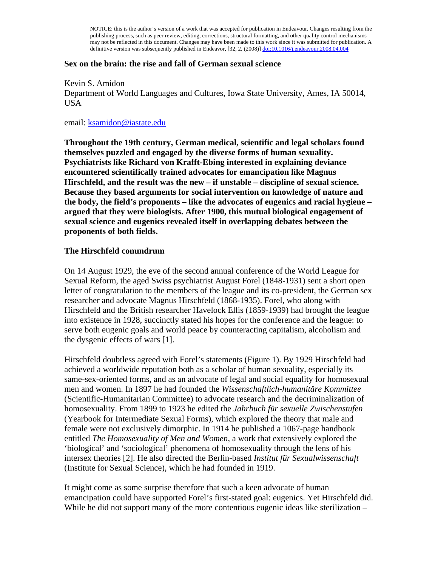NOTICE: this is the author's version of a work that was accepted for publication in Endeavour. Changes resulting from the publishing process, such as peer review, editing, corrections, structural formatting, and other quality control mechanisms may not be reflected in this document. Changes may have been made to this work since it was submitted for publication. A definitive version was subsequently published in Endeavor, [32, 2, (2008)] doi:10.1016/j.endeavour.2008.04.004

### **Sex on the brain: the rise and fall of German sexual science**

Kevin S. Amidon Department of World Languages and Cultures, Iowa State University, Ames, IA 50014, USA

email: ksamidon@iastate.edu

**Throughout the 19th century, German medical, scientific and legal scholars found themselves puzzled and engaged by the diverse forms of human sexuality. Psychiatrists like Richard von Krafft-Ebing interested in explaining deviance encountered scientifically trained advocates for emancipation like Magnus Hirschfeld, and the result was the new – if unstable – discipline of sexual science. Because they based arguments for social intervention on knowledge of nature and the body, the field's proponents – like the advocates of eugenics and racial hygiene – argued that they were biologists. After 1900, this mutual biological engagement of sexual science and eugenics revealed itself in overlapping debates between the proponents of both fields.** 

### **The Hirschfeld conundrum**

On 14 August 1929, the eve of the second annual conference of the World League for Sexual Reform, the aged Swiss psychiatrist August Forel (1848-1931) sent a short open letter of congratulation to the members of the league and its co-president, the German sex researcher and advocate Magnus Hirschfeld (1868-1935). Forel, who along with Hirschfeld and the British researcher Havelock Ellis (1859-1939) had brought the league into existence in 1928, succinctly stated his hopes for the conference and the league: to serve both eugenic goals and world peace by counteracting capitalism, alcoholism and the dysgenic effects of wars [1].

Hirschfeld doubtless agreed with Forel's statements (Figure 1). By 1929 Hirschfeld had achieved a worldwide reputation both as a scholar of human sexuality, especially its same-sex-oriented forms, and as an advocate of legal and social equality for homosexual men and women. In 1897 he had founded the *Wissenschaftlich-humanitäre Kommittee* (Scientific-Humanitarian Committee) to advocate research and the decriminalization of homosexuality. From 1899 to 1923 he edited the *Jahrbuch für sexuelle Zwischenstufen* (Yearbook for Intermediate Sexual Forms), which explored the theory that male and female were not exclusively dimorphic. In 1914 he published a 1067-page handbook entitled *The Homosexuality of Men and Women*, a work that extensively explored the 'biological' and 'sociological' phenomena of homosexuality through the lens of his intersex theories [2]. He also directed the Berlin-based *Institut für Sexualwissenschaft* (Institute for Sexual Science), which he had founded in 1919.

It might come as some surprise therefore that such a keen advocate of human emancipation could have supported Forel's first-stated goal: eugenics. Yet Hirschfeld did. While he did not support many of the more contentious eugenic ideas like sterilization –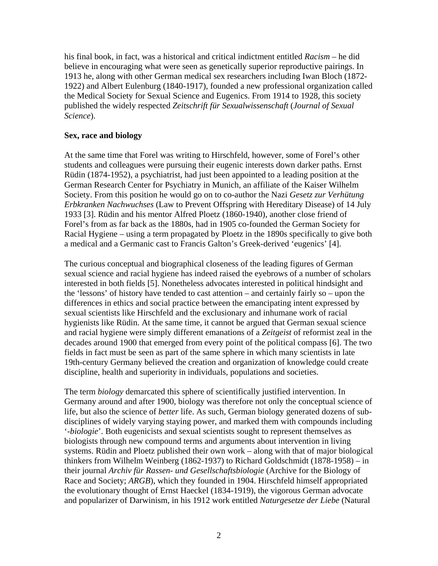his final book, in fact, was a historical and critical indictment entitled *Racism* – he did believe in encouraging what were seen as genetically superior reproductive pairings. In 1913 he, along with other German medical sex researchers including Iwan Bloch (1872- 1922) and Albert Eulenburg (1840-1917), founded a new professional organization called the Medical Society for Sexual Science and Eugenics. From 1914 to 1928, this society published the widely respected *Zeitschrift für Sexualwissenschaft* (*Journal of Sexual Science*).

## **Sex, race and biology**

At the same time that Forel was writing to Hirschfeld, however, some of Forel's other students and colleagues were pursuing their eugenic interests down darker paths. Ernst Rüdin (1874-1952), a psychiatrist, had just been appointed to a leading position at the German Research Center for Psychiatry in Munich, an affiliate of the Kaiser Wilhelm Society. From this position he would go on to co-author the Nazi *Gesetz zur Verhütung Erbkranken Nachwuchses* (Law to Prevent Offspring with Hereditary Disease) of 14 July 1933 [3]. Rüdin and his mentor Alfred Ploetz (1860-1940), another close friend of Forel's from as far back as the 1880s, had in 1905 co-founded the German Society for Racial Hygiene – using a term propagated by Ploetz in the 1890s specifically to give both a medical and a Germanic cast to Francis Galton's Greek-derived 'eugenics' [4].

The curious conceptual and biographical closeness of the leading figures of German sexual science and racial hygiene has indeed raised the eyebrows of a number of scholars interested in both fields [5]. Nonetheless advocates interested in political hindsight and the 'lessons' of history have tended to cast attention – and certainly fairly so – upon the differences in ethics and social practice between the emancipating intent expressed by sexual scientists like Hirschfeld and the exclusionary and inhumane work of racial hygienists like Rüdin. At the same time, it cannot be argued that German sexual science and racial hygiene were simply different emanations of a *Zeitgeist* of reformist zeal in the decades around 1900 that emerged from every point of the political compass [6]. The two fields in fact must be seen as part of the same sphere in which many scientists in late 19th-century Germany believed the creation and organization of knowledge could create discipline, health and superiority in individuals, populations and societies.

The term *biology* demarcated this sphere of scientifically justified intervention. In Germany around and after 1900, biology was therefore not only the conceptual science of life, but also the science of *better* life. As such, German biology generated dozens of subdisciplines of widely varying staying power, and marked them with compounds including '-*biologie*'. Both eugenicists and sexual scientists sought to represent themselves as biologists through new compound terms and arguments about intervention in living systems. Rüdin and Ploetz published their own work – along with that of major biological thinkers from Wilhelm Weinberg (1862-1937) to Richard Goldschmidt (1878-1958) – in their journal *Archiv für Rassen- und Gesellschaftsbiologie* (Archive for the Biology of Race and Society; *ARGB*), which they founded in 1904. Hirschfeld himself appropriated the evolutionary thought of Ernst Haeckel (1834-1919), the vigorous German advocate and popularizer of Darwinism, in his 1912 work entitled *Naturgesetze der Liebe* (Natural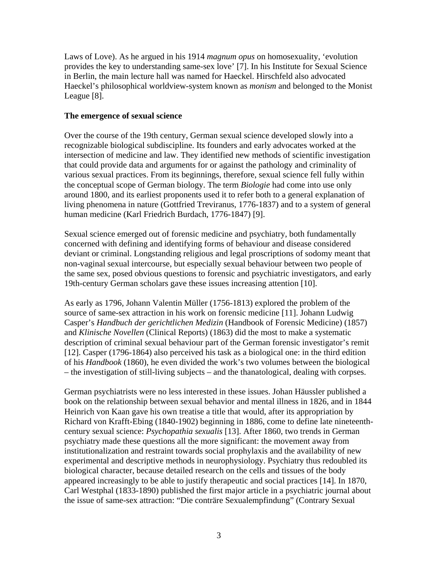Laws of Love). As he argued in his 1914 *magnum opus* on homosexuality, 'evolution provides the key to understanding same-sex love' [7]. In his Institute for Sexual Science in Berlin, the main lecture hall was named for Haeckel. Hirschfeld also advocated Haeckel's philosophical worldview-system known as *monism* and belonged to the Monist League [8].

### **The emergence of sexual science**

Over the course of the 19th century, German sexual science developed slowly into a recognizable biological subdiscipline. Its founders and early advocates worked at the intersection of medicine and law. They identified new methods of scientific investigation that could provide data and arguments for or against the pathology and criminality of various sexual practices. From its beginnings, therefore, sexual science fell fully within the conceptual scope of German biology. The term *Biologie* had come into use only around 1800, and its earliest proponents used it to refer both to a general explanation of living phenomena in nature (Gottfried Treviranus, 1776-1837) and to a system of general human medicine (Karl Friedrich Burdach, 1776-1847) [9].

Sexual science emerged out of forensic medicine and psychiatry, both fundamentally concerned with defining and identifying forms of behaviour and disease considered deviant or criminal. Longstanding religious and legal proscriptions of sodomy meant that non-vaginal sexual intercourse, but especially sexual behaviour between two people of the same sex, posed obvious questions to forensic and psychiatric investigators, and early 19th-century German scholars gave these issues increasing attention [10].

As early as 1796, Johann Valentin Müller (1756-1813) explored the problem of the source of same-sex attraction in his work on forensic medicine [11]. Johann Ludwig Casper's *Handbuch der gerichtlichen Medizin* (Handbook of Forensic Medicine) (1857) and *Klinische Novellen* (Clinical Reports) (1863) did the most to make a systematic description of criminal sexual behaviour part of the German forensic investigator's remit [12]. Casper (1796-1864) also perceived his task as a biological one: in the third edition of his *Handbook* (1860), he even divided the work's two volumes between the biological – the investigation of still-living subjects – and the thanatological, dealing with corpses.

German psychiatrists were no less interested in these issues. Johan Häussler published a book on the relationship between sexual behavior and mental illness in 1826, and in 1844 Heinrich von Kaan gave his own treatise a title that would, after its appropriation by Richard von Krafft-Ebing (1840-1902) beginning in 1886, come to define late nineteenthcentury sexual science: *Psychopathia sexualis* [13]. After 1860, two trends in German psychiatry made these questions all the more significant: the movement away from institutionalization and restraint towards social prophylaxis and the availability of new experimental and descriptive methods in neurophysiology. Psychiatry thus redoubled its biological character, because detailed research on the cells and tissues of the body appeared increasingly to be able to justify therapeutic and social practices [14]. In 1870, Carl Westphal (1833-1890) published the first major article in a psychiatric journal about the issue of same-sex attraction: "Die conträre Sexualempfindung" (Contrary Sexual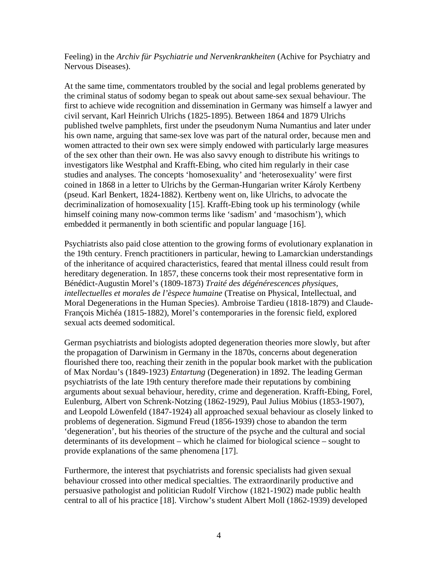Feeling) in the *Archiv für Psychiatrie und Nervenkrankheiten* (Achive for Psychiatry and Nervous Diseases).

At the same time, commentators troubled by the social and legal problems generated by the criminal status of sodomy began to speak out about same-sex sexual behaviour. The first to achieve wide recognition and dissemination in Germany was himself a lawyer and civil servant, Karl Heinrich Ulrichs (1825-1895). Between 1864 and 1879 Ulrichs published twelve pamphlets, first under the pseudonym Numa Numantius and later under his own name, arguing that same-sex love was part of the natural order, because men and women attracted to their own sex were simply endowed with particularly large measures of the sex other than their own. He was also savvy enough to distribute his writings to investigators like Westphal and Krafft-Ebing, who cited him regularly in their case studies and analyses. The concepts 'homosexuality' and 'heterosexuality' were first coined in 1868 in a letter to Ulrichs by the German-Hungarian writer Károly Kertbeny (pseud. Karl Benkert, 1824-1882). Kertbeny went on, like Ulrichs, to advocate the decriminalization of homosexuality [15]. Krafft-Ebing took up his terminology (while himself coining many now-common terms like 'sadism' and 'masochism'), which embedded it permanently in both scientific and popular language [16].

Psychiatrists also paid close attention to the growing forms of evolutionary explanation in the 19th century. French practitioners in particular, hewing to Lamarckian understandings of the inheritance of acquired characteristics, feared that mental illness could result from hereditary degeneration. In 1857, these concerns took their most representative form in Bénédict-Augustin Morel's (1809-1873) *Traité des dégénérescences physiques, intellectuelles et morales de l'èspece humaine* (Treatise on Physical, Intellectual, and Moral Degenerations in the Human Species). Ambroise Tardieu (1818-1879) and Claude-François Michéa (1815-1882), Morel's contemporaries in the forensic field, explored sexual acts deemed sodomitical.

German psychiatrists and biologists adopted degeneration theories more slowly, but after the propagation of Darwinism in Germany in the 1870s, concerns about degeneration flourished there too, reaching their zenith in the popular book market with the publication of Max Nordau's (1849-1923) *Entartung* (Degeneration) in 1892. The leading German psychiatrists of the late 19th century therefore made their reputations by combining arguments about sexual behaviour, heredity, crime and degeneration. Krafft-Ebing, Forel, Eulenburg, Albert von Schrenk-Notzing (1862-1929), Paul Julius Möbius (1853-1907), and Leopold Löwenfeld (1847-1924) all approached sexual behaviour as closely linked to problems of degeneration. Sigmund Freud (1856-1939) chose to abandon the term 'degeneration', but his theories of the structure of the psyche and the cultural and social determinants of its development – which he claimed for biological science – sought to provide explanations of the same phenomena [17].

Furthermore, the interest that psychiatrists and forensic specialists had given sexual behaviour crossed into other medical specialties. The extraordinarily productive and persuasive pathologist and politician Rudolf Virchow (1821-1902) made public health central to all of his practice [18]. Virchow's student Albert Moll (1862-1939) developed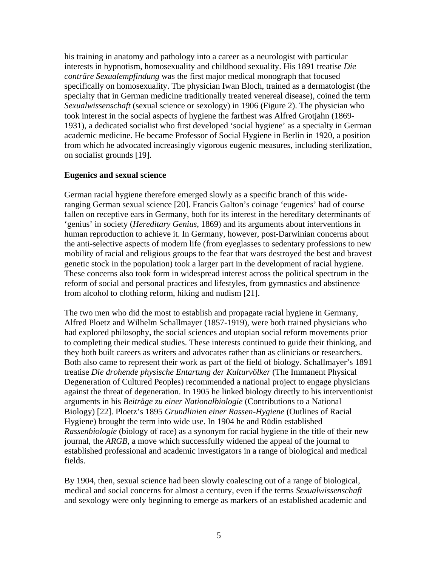his training in anatomy and pathology into a career as a neurologist with particular interests in hypnotism, homosexuality and childhood sexuality. His 1891 treatise *Die conträre Sexualempfindung* was the first major medical monograph that focused specifically on homosexuality. The physician Iwan Bloch, trained as a dermatologist (the specialty that in German medicine traditionally treated venereal disease), coined the term *Sexualwissenschaft* (sexual science or sexology) in 1906 (Figure 2). The physician who took interest in the social aspects of hygiene the farthest was Alfred Grotjahn (1869- 1931), a dedicated socialist who first developed 'social hygiene' as a specialty in German academic medicine. He became Professor of Social Hygiene in Berlin in 1920, a position from which he advocated increasingly vigorous eugenic measures, including sterilization, on socialist grounds [19].

# **Eugenics and sexual science**

German racial hygiene therefore emerged slowly as a specific branch of this wideranging German sexual science [20]. Francis Galton's coinage 'eugenics' had of course fallen on receptive ears in Germany, both for its interest in the hereditary determinants of 'genius' in society (*Hereditary Genius*, 1869) and its arguments about interventions in human reproduction to achieve it. In Germany, however, post-Darwinian concerns about the anti-selective aspects of modern life (from eyeglasses to sedentary professions to new mobility of racial and religious groups to the fear that wars destroyed the best and bravest genetic stock in the population) took a larger part in the development of racial hygiene. These concerns also took form in widespread interest across the political spectrum in the reform of social and personal practices and lifestyles, from gymnastics and abstinence from alcohol to clothing reform, hiking and nudism [21].

The two men who did the most to establish and propagate racial hygiene in Germany, Alfred Ploetz and Wilhelm Schallmayer (1857-1919), were both trained physicians who had explored philosophy, the social sciences and utopian social reform movements prior to completing their medical studies. These interests continued to guide their thinking, and they both built careers as writers and advocates rather than as clinicians or researchers. Both also came to represent their work as part of the field of biology. Schallmayer's 1891 treatise *Die drohende physische Entartung der Kulturvölker* (The Immanent Physical Degeneration of Cultured Peoples) recommended a national project to engage physicians against the threat of degeneration. In 1905 he linked biology directly to his interventionist arguments in his *Beiträge zu einer Nationalbiologie* (Contributions to a National Biology) [22]. Ploetz's 1895 *Grundlinien einer Rassen-Hygiene* (Outlines of Racial Hygiene) brought the term into wide use. In 1904 he and Rüdin established *Rassenbiologie* (biology of race) as a synonym for racial hygiene in the title of their new journal, the *ARGB*, a move which successfully widened the appeal of the journal to established professional and academic investigators in a range of biological and medical fields.

By 1904, then, sexual science had been slowly coalescing out of a range of biological, medical and social concerns for almost a century, even if the terms *Sexualwissenschaft* and sexology were only beginning to emerge as markers of an established academic and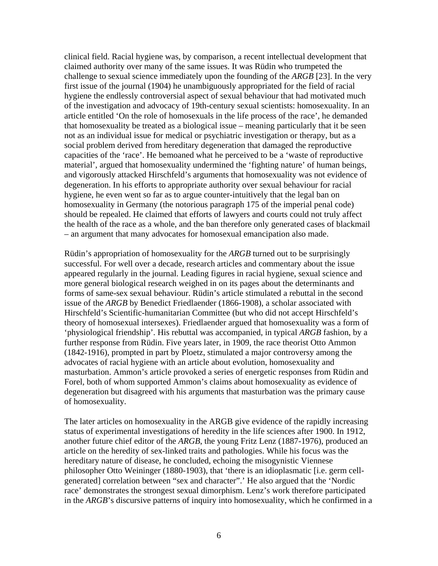clinical field. Racial hygiene was, by comparison, a recent intellectual development that claimed authority over many of the same issues. It was Rüdin who trumpeted the challenge to sexual science immediately upon the founding of the *ARGB* [23]. In the very first issue of the journal (1904) he unambiguously appropriated for the field of racial hygiene the endlessly controversial aspect of sexual behaviour that had motivated much of the investigation and advocacy of 19th-century sexual scientists: homosexuality. In an article entitled 'On the role of homosexuals in the life process of the race', he demanded that homosexuality be treated as a biological issue – meaning particularly that it be seen not as an individual issue for medical or psychiatric investigation or therapy, but as a social problem derived from hereditary degeneration that damaged the reproductive capacities of the 'race'. He bemoaned what he perceived to be a 'waste of reproductive material', argued that homosexuality undermined the 'fighting nature' of human beings, and vigorously attacked Hirschfeld's arguments that homosexuality was not evidence of degeneration. In his efforts to appropriate authority over sexual behaviour for racial hygiene, he even went so far as to argue counter-intuitively that the legal ban on homosexuality in Germany (the notorious paragraph 175 of the imperial penal code) should be repealed. He claimed that efforts of lawyers and courts could not truly affect the health of the race as a whole, and the ban therefore only generated cases of blackmail – an argument that many advocates for homosexual emancipation also made.

Rüdin's appropriation of homosexuality for the *ARGB* turned out to be surprisingly successful. For well over a decade, research articles and commentary about the issue appeared regularly in the journal. Leading figures in racial hygiene, sexual science and more general biological research weighed in on its pages about the determinants and forms of same-sex sexual behaviour. Rüdin's article stimulated a rebuttal in the second issue of the *ARGB* by Benedict Friedlaender (1866-1908), a scholar associated with Hirschfeld's Scientific-humanitarian Committee (but who did not accept Hirschfeld's theory of homosexual intersexes). Friedlaender argued that homosexuality was a form of 'physiological friendship'. His rebuttal was accompanied, in typical *ARGB* fashion, by a further response from Rüdin. Five years later, in 1909, the race theorist Otto Ammon (1842-1916), prompted in part by Ploetz, stimulated a major controversy among the advocates of racial hygiene with an article about evolution, homosexuality and masturbation. Ammon's article provoked a series of energetic responses from Rüdin and Forel, both of whom supported Ammon's claims about homosexuality as evidence of degeneration but disagreed with his arguments that masturbation was the primary cause of homosexuality.

The later articles on homosexuality in the ARGB give evidence of the rapidly increasing status of experimental investigations of heredity in the life sciences after 1900. In 1912, another future chief editor of the *ARGB*, the young Fritz Lenz (1887-1976), produced an article on the heredity of sex-linked traits and pathologies. While his focus was the hereditary nature of disease, he concluded, echoing the misogynistic Viennese philosopher Otto Weininger (1880-1903), that 'there is an idioplasmatic [i.e. germ cellgenerated] correlation between "sex and character".' He also argued that the 'Nordic race' demonstrates the strongest sexual dimorphism. Lenz's work therefore participated in the *ARGB*'s discursive patterns of inquiry into homosexuality, which he confirmed in a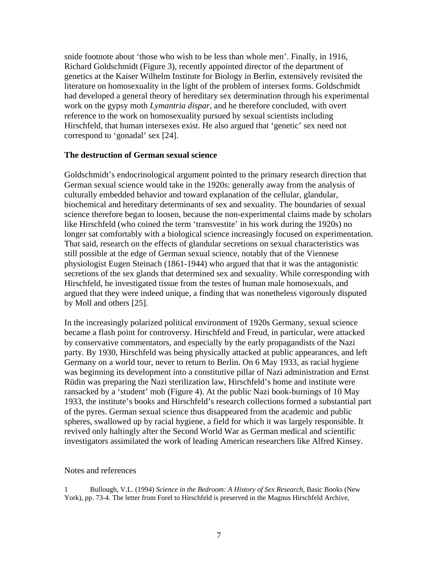snide footnote about 'those who wish to be less than whole men'. Finally, in 1916, Richard Goldschmidt (Figure 3), recently appointed director of the department of genetics at the Kaiser Wilhelm Institute for Biology in Berlin, extensively revisited the literature on homosexuality in the light of the problem of intersex forms. Goldschmidt had developed a general theory of hereditary sex determination through his experimental work on the gypsy moth *Lymantria dispar*, and he therefore concluded, with overt reference to the work on homosexuality pursued by sexual scientists including Hirschfeld, that human intersexes exist. He also argued that 'genetic' sex need not correspond to 'gonadal' sex [24].

### **The destruction of German sexual science**

Goldschmidt's endocrinological argument pointed to the primary research direction that German sexual science would take in the 1920s: generally away from the analysis of culturally embedded behavior and toward explanation of the cellular, glandular, biochemical and hereditary determinants of sex and sexuality. The boundaries of sexual science therefore began to loosen, because the non-experimental claims made by scholars like Hirschfeld (who coined the term 'transvestite' in his work during the 1920s) no longer sat comfortably with a biological science increasingly focused on experimentation. That said, research on the effects of glandular secretions on sexual characteristics was still possible at the edge of German sexual science, notably that of the Viennese physiologist Eugen Steinach (1861-1944) who argued that that it was the antagonistic secretions of the sex glands that determined sex and sexuality. While corresponding with Hirschfeld, he investigated tissue from the testes of human male homosexuals, and argued that they were indeed unique, a finding that was nonetheless vigorously disputed by Moll and others [25].

In the increasingly polarized political environment of 1920s Germany, sexual science became a flash point for controversy. Hirschfeld and Freud, in particular, were attacked by conservative commentators, and especially by the early propagandists of the Nazi party. By 1930, Hirschfeld was being physically attacked at public appearances, and left Germany on a world tour, never to return to Berlin. On 6 May 1933, as racial hygiene was beginning its development into a constitutive pillar of Nazi administration and Ernst Rüdin was preparing the Nazi sterilization law, Hirschfeld's home and institute were ransacked by a 'student' mob (Figure 4). At the public Nazi book-burnings of 10 May 1933, the institute's books and Hirschfeld's research collections formed a substantial part of the pyres. German sexual science thus disappeared from the academic and public spheres, swallowed up by racial hygiene, a field for which it was largely responsible. It revived only haltingly after the Second World War as German medical and scientific investigators assimilated the work of leading American researchers like Alfred Kinsey.

#### Notes and references

1 Bullough, V.L. (1994) *Science in the Bedroom: A History of Sex Research*, Basic Books (New York), pp. 73-4. The letter from Forel to Hirschfeld is preserved in the Magnus Hirschfeld Archive,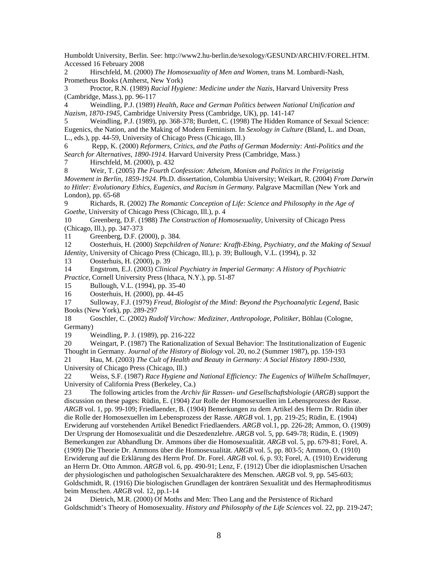Humboldt University, Berlin. See: http://www2.hu-berlin.de/sexology/GESUND/ARCHIV/FOREL.HTM. Accessed 16 February 2008

2 Hirschfeld, M. (2000) *The Homosexuality of Men and Women*, trans M. Lombardi-Nash, Prometheus Books (Amherst, New York)

3 Proctor, R.N. (1989) *Racial Hygiene: Medicine under the Nazis*, Harvard University Press (Cambridge, Mass.), pp. 96-117

4 Weindling, P.J. (1989) *Health, Race and German Politics between National Unification and Nazism, 1870-1945*, Cambridge University Press (Cambridge, UK), pp. 141-147

5 Weindling, P.J. (1989), pp. 368-378; Burdett, C. (1998) The Hidden Romance of Sexual Science: Eugenics, the Nation, and the Making of Modern Feminism. In *Sexology in Culture* (Bland, L. and Doan, L., eds.), pp. 44-59, University of Chicago Press (Chicago, Ill.)

6 Repp, K. (2000) *Reformers, Critics, and the Paths of German Modernity: Anti-Politics and the Search for Alternatives, 1890-1914.* Harvard University Press (Cambridge, Mass.)

7 Hirschfeld, M. (2000), p. 432

8 Weir, T. (2005) *The Fourth Confession: Atheism, Monism and Politics in the Freigeistig Movement in Berlin, 1859-1924*. Ph.D. dissertation, Columbia University; Weikart, R. (2004) *From Darwin to Hitler: Evolutionary Ethics, Eugenics, and Racism in Germany.* Palgrave Macmillan (New York and London), pp. 65-68

9 Richards, R. (2002) *The Romantic Conception of Life: Science and Philosophy in the Age of Goethe*, University of Chicago Press (Chicago, Ill.), p. 4

10 Greenberg, D.F. (1988) *The Construction of Homosexuality*, University of Chicago Press (Chicago, Ill.), pp. 347-373

11 Greenberg, D.F. (2000), p. 384.

12 Oosterhuis, H. (2000) *Stepchildren of Nature: Krafft-Ebing, Psychiatry, and the Making of Sexual Identity*, University of Chicago Press (Chicago, Ill.), p. 39; Bullough, V.L. (1994), p. 32

13 Oosterhuis, H. (2000), p. 39

14 Engstrom, E.J. (2003) *Clinical Psychiatry in Imperial Germany: A History of Psychiatric Practice*, Cornell University Press (Ithaca, N.Y.), pp. 51-87

15 Bullough, V.L. (1994), pp. 35-40

16 Oosterhuis, H. (2000), pp. 44-45

17 Sulloway, F.J. (1979) *Freud, Biologist of the Mind: Beyond the Psychoanalytic Legend*, Basic Books (New York), pp. 289-297

18 Goschler, C. (2002) *Rudolf Virchow: Mediziner, Anthropologe, Politiker*, Böhlau (Cologne, Germany)

19 Weindling, P. J. (1989), pp. 216-222

20 Weingart, P. (1987) The Rationalization of Sexual Behavior: The Institutionalization of Eugenic Thought in Germany. *Journal of the History of Biology* vol. 20, no.2 (Summer 1987), pp. 159-193

21 Hau, M. (2003) *The Cult of Health and Beauty in Germany: A Social History 1890-1930*, University of Chicago Press (Chicago, Ill.)

22 Weiss, S.F. (1987) *Race Hygiene and National Efficiency: The Eugenics of Wilhelm Schallmayer,*  University of California Press (Berkeley, Ca.)

23 The following articles from the *Archiv für Rassen- und Gesellschaftsbiologie* (*ARGB*) support the discussion on these pages: Rüdin, E. (1904) Zur Rolle der Homosexuellen im Lebensprozess der Rasse. *ARGB* vol. 1, pp. 99-109; Friedlaender, B. (1904) Bemerkungen zu dem Artikel des Herrn Dr. Rüdin über die Rolle der Homosexuellen im Lebensprozess der Rasse. *ARGB* vol. 1, pp. 219-25; Rüdin, E. (1904) Erwiderung auf vorstehenden Artikel Benedict Friedlaenders. *ARGB* vol.1, pp. 226-28; Ammon, O. (1909) Der Ursprung der Homosexualität und die Deszedenzlehre. *ARGB* vol. 5, pp. 649-78; Rüdin, E. (1909) Bemerkungen zur Abhandlung Dr. Ammons über die Homosexualität. *ARGB* vol. 5, pp. 679-81; Forel, A. (1909) Die Theorie Dr. Ammons über die Homosexualität. *ARGB* vol. 5, pp. 803-5; Ammon, O. (1910) Erwiderung auf die Erklärung des Herrn Prof. Dr. Forel. *ARGB* vol. 6, p. 93; Forel, A. (1910) Erwiderung an Herrn Dr. Otto Ammon. *ARGB* vol. 6, pp. 490-91; Lenz, F. (1912) Über die idioplasmischen Ursachen der physiologischen und pathologischen Sexualcharaktere des Menschen. *ARGB* vol. 9, pp. 545-603; Goldschmidt, R. (1916) Die biologischen Grundlagen der konträren Sexualität und des Hermaphroditismus beim Menschen. *ARGB* vol. 12, pp.1-14

24 Dietrich, M.R. (2000) Of Moths and Men: Theo Lang and the Persistence of Richard Goldschmidt's Theory of Homosexuality. *History and Philosophy of the Life Sciences* vol. 22, pp. 219-247;